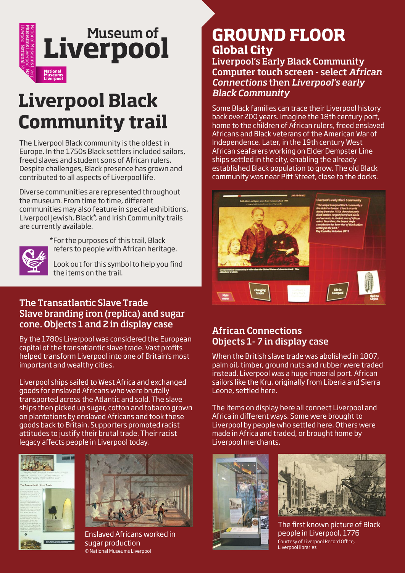

# **Liverpool Black Community trail**

The Liverpool Black community is the oldest in Europe. In the 1750s Black settlers included sailors, freed slaves and student sons of African rulers. Despite challenges, Black presence has grown and contributed to all aspects of Liverpool life.

Diverse communities are represented throughout the museum. From time to time, different communities may also feature in special exhibitions. Liverpool Jewish, Black\*, and Irish Community trails are currently available.



\*For the purposes of this trail, Black refers to people with African heritage.

Look out for this symbol to help you find the items on the trail.

#### **The Transatlantic Slave Trade Slave branding iron (replica) and sugar cone. Objects 1 and 2 in display case**

By the 1780s Liverpool was considered the European capital of the transatlantic slave trade. Vast profits helped transform Liverpool into one of Britain's most important and wealthy cities.

Liverpool ships sailed to West Africa and exchanged goods for enslaved Africans who were brutally transported across the Atlantic and sold. The slave ships then picked up sugar, cotton and tobacco grown on plantations by enslaved Africans and took these goods back to Britain. Supporters promoted racist attitudes to justify their brutal trade. Their racist legacy affects people in Liverpool today.





Enslaved Africans worked in sugar production © National Museums Liverpool

# **GROUND FLOOR Global City**

#### **Liverpool's Early Black Community Computer touch screen - select** *African Connections* **then** *Liverpool's early Black Community*

Some Black families can trace their Liverpool history back over 200 years. Imagine the 18th century port, home to the children of African rulers, freed enslaved Africans and Black veterans of the American War of Independence. Later, in the 19th century West African seafarers working on Elder Dempster Line ships settled in the city, enabling the already established Black population to grow. The old Black community was near Pitt Street, close to the docks.



#### **African Connections Objects 1- 7 in display case**

When the British slave trade was abolished in 1807, palm oil, timber, ground nuts and rubber were traded instead. Liverpool was a huge imperial port. African sailors like the Kru, originally from Liberia and Sierra Leone, settled here.

The items on display here all connect Liverpool and Africa in different ways. Some were brought to Liverpool by people who settled here. Others were made in Africa and traded, or brought home by Liverpool merchants.





The first known picture of Black people in Liverpool, 1776 Courtesy of Liverpool Record Office, Liverpool libraries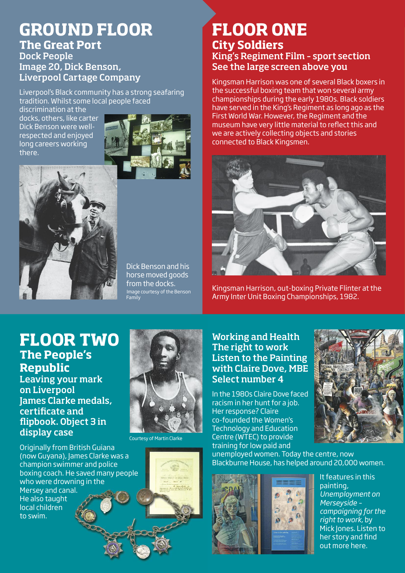# **GROUND FLOOR The Great Port Dock People**

**Image 20, Dick Benson, Liverpool Cartage Company**

Liverpool's Black community has a strong seafaring tradition. Whilst some local people faced

discrimination at the docks, others, like carter Dick Benson were wellrespected and enjoyed long careers working there.





 Dick Benson and his horse moved goods from the docks.

# **FLOOR ONE City Soldiers King's Regiment Film – sport section See the large screen above you**

Kingsman Harrison was one of several Black boxers in the successful boxing team that won several army championships during the early 1980s. Black soldiers have served in the King's Regiment as long ago as the First World War. However, the Regiment and the museum have very little material to reflect this and we are actively collecting objects and stories connected to Black Kingsmen.



Kingsman Harrison, out-boxing Private Flinter at the Army Inter Unit Boxing Championships, 1982.

## **FLOOR TWO The People's Republic**

**Leaving your mark on Liverpool James Clarke medals, certicate and ipbook. Object 3 in display case**

Originally from British Guiana (now Guyana), James Clarke was a champion swimmer and police boxing coach. He saved many people who were drowning in the Mersey and canal. He also taught local children to swim.



Courtesy of Martin Clarke

**Working and Health The right to work Listen to the Painting with Claire Dove, MBE Select number 4**

In the 1980s Claire Dove faced racism in her hunt for a job. Her response? Claire co-founded the Women's Technology and Education Centre (WTEC) to provide training for low paid and



unemployed women. Today the centre, now Blackburne House, has helped around 20,000 women.

> $\mathcal{D}$   $\circ$  $\mathcal{D}$  $\Omega$  $\Omega$  $\Omega$



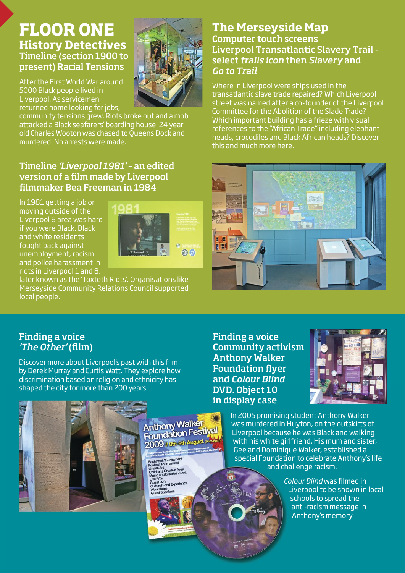## **FLOOR ONE History Detectives Timeline (section 1900 to present) Racial Tensions**

After the First World War around 5000 Black people lived in Liverpool. As servicemen returned home looking for jobs,

community tensions grew. Riots broke out and a mob attacked a Black seafarers' boarding house. 24 year old Charles Wooton was chased to Queens Dock and murdered. No arrests were made.

#### **Timeline** *'Liverpool 1981'* **– an edited version of a lm made by Liverpool lmmaker Bea Freeman in 1984**

In 1981 getting a job or moving outside of the Liverpool 8 area was hard if you were Black. Black and white residents fought back against unemployment, racism and police harassment in riots in Liverpool 1 and 8,



later known as the 'Toxteth Riots'. Organisations like Merseyside Community Relations Council supported local people.

#### **The Merseyside Map Computer touch screens Liverpool Transatlantic Slavery Trail select** *trails icon* **then** *Slavery* **and** *Go to Trail*

Where in Liverpool were ships used in the transatlantic slave trade repaired? Which Liverpool street was named after a co-founder of the Liverpool Committee for the Abolition of the Slade Trade? Which important building has a frieze with visual references to the "African Trade" including elephant heads, crocodiles and Black African heads? Discover this and much more here.



#### **Finding a voice** *'The Other'* (film)

Discover more about Liverpool's past with this film by Derek Murray and Curtis Watt. They explore how discrimination based on religion and ethnicity has shaped the city for more than 200 years.





In 2005 promising student Anthony Walker was murdered in Huyton, on the outskirts of Liverpool because he was Black and walking with his white girlfriend. His mum and sister, Gee and Dominique Walker, established a special Foundation to celebrate Anthony's life and challenge racism.

> *Colour Blind* was filmed in Liverpool to be shown in local schools to spread the anti-racism message in Anthony's memory.



**Anthony Walker Anthony Walksburgh** 

all Tournam rt<br>s Creative Ar **H** Experie

2009 // 8th-9th August